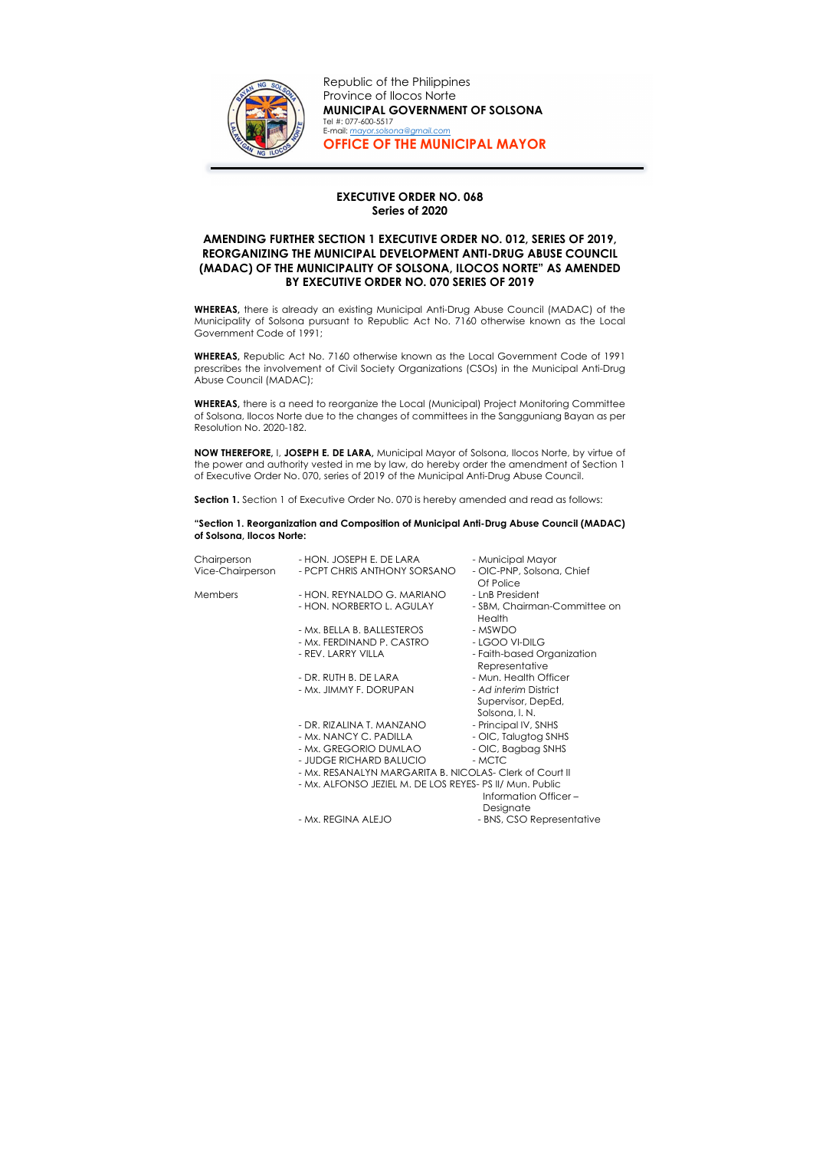## EXECUTIVE ORDER NO. 068 Series of 2020

## AMENDING FURTHER SECTION 1 EXECUTIVE ORDER NO. 012, SERIES OF 2019, REORGANIZING THE MUNICIPAL DEVELOPMENT ANTI-DRUG ABUSE COUNCIL (MADAC) OF THE MUNICIPALITY OF SOLSONA, ILOCOS NORTE" AS AMENDED BY EXECUTIVE ORDER NO. 070 SERIES OF 2019

WHEREAS, there is already an existing Municipal Anti-Drug Abuse Council (MADAC) of the Municipality of Solsona pursuant to Republic Act No. 7160 otherwise known as the Local Government Code of 1991;

WHEREAS, Republic Act No. 7160 otherwise known as the Local Government Code of 1991 prescribes the involvement of Civil Society Organizations (CSOs) in the Municipal Anti-Drug Abuse Council (MADAC);

WHEREAS, there is a need to reorganize the Local (Municipal) Project Monitoring Committee of Solsona, Ilocos Norte due to the changes of committees in the Sangguniang Bayan as per Resolution No. 2020-182.

NOW THEREFORE, I, JOSEPH E. DE LARA, Municipal Mayor of Solsona, Ilocos Norte, by virtue of the power and authority vested in me by law, do hereby order the amendment of Section 1 of Executive Order No. 070, series of 2019 of the Municipal Anti-Drug Abuse Council.

Section 1. Section 1 of Executive Order No. 070 is hereby amended and read as follows:

"Section 1. Reorganization and Composition of Municipal Anti-Drug Abuse Council (MADAC) of Solsona, Ilocos Norte:

| Chairperson      | - HON. JOSEPH E. DE LARA                                 | - Municipal Mayor                            |
|------------------|----------------------------------------------------------|----------------------------------------------|
| Vice-Chairperson | - PCPT CHRIS ANTHONY SORSANO                             | - OIC-PNP, Solsona, Chief<br>Of Police       |
| Members          | - HON. REYNALDO G. MARIANO                               | - LnB President                              |
|                  | - HON. NORBERTO L. AGULAY                                | - SBM, Chairman-Committee on<br>Health       |
|                  | - Mx. BELLA B. BALLESTEROS                               | - MSWDO                                      |
|                  | - Mx. FERDINAND P. CASTRO                                | - LGOO VI-DILG                               |
|                  | - REV. LARRY VILLA                                       | - Faith-based Organization<br>Representative |
|                  | - DR. RUTH B. DE LARA                                    | - Mun. Health Officer                        |
|                  | - Mx. JIMMY F. DORUPAN                                   | - Ad interim District                        |
|                  |                                                          | Supervisor, DepEd,                           |
|                  |                                                          | Solsona, I. N.                               |
|                  | - DR. RIZALINA T. MANZANO                                | - Principal IV, SNHS                         |
|                  | - Mx. NANCY C. PADILLA                                   | - OIC, Talugtog SNHS                         |
|                  | - Mx. GREGORIO DUMLAO                                    | - OIC, Bagbag SNHS                           |
|                  | - JUDGE RICHARD BALUCIO                                  | - MCTC                                       |
|                  | - Mx. RESANALYN MARGARITA B. NICOLAS- Clerk of Court II  |                                              |
|                  | - Mx. ALFONSO JEZIEL M. DE LOS REYES- PS II/ Mun. Public |                                              |
|                  |                                                          | Information Officer-                         |
|                  |                                                          | Designate                                    |
|                  | - Mx. REGINA ALEJO                                       | - BNS, CSO Representative                    |
|                  |                                                          |                                              |



Republic of the Philippines Province of Ilocos Norte MUNICIPAL GOVERNMENT OF SOLSONA Tel #: 077-600-5517 E-mail: mayor.solsona@gmail.com OFFICE OF THE MUNICIPAL MAYOR